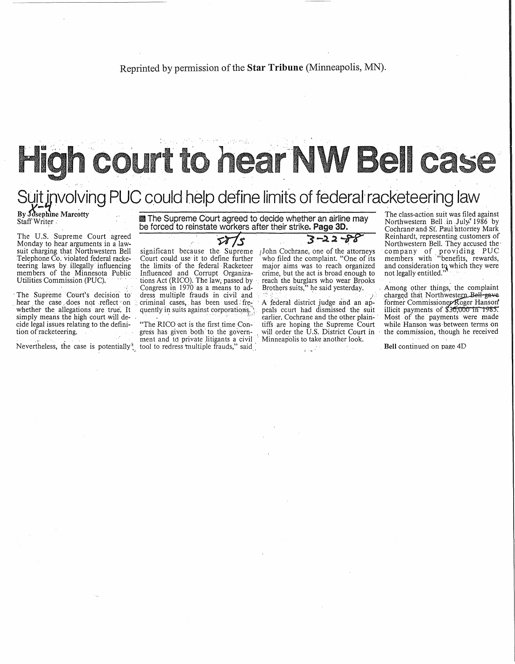## High court to hear NW Bell case Suit involving PUC could help define limit's of federal racketeering law<br>By *M*sephine Marcotty<br>Staff Writer Marcotty **Expresses and Define Supreme Court agreed** to decide whether an airline may The class-action suit was f

Monday to hear arguments in a law-<br>suit charging that Northwestern Bell. suit charging that Northwestern Bell significant because the Supreme /John Cochrane, one of the attorneys Telephone Co. violated federal racke- Court could use it to define further who filed the complaint. "One of its Telephone Co. violated federal racke-<br>Telephone Co. violated federal racke- Court could use it to define further who filed the complaint. "One of its members with "benefits, rewards,<br>teering laws by illegally influencing t teering laws by illegally influencing the limits of the federal Racketeer major aims was to reach organized and consideration to which they were<br>members of the Minnesota Public Influenced and Corrupt Organiza-<br>Utilities Co

The Supreme Court's decision to dress multiple frauds in civil and<br>hear the case does not reflect on criminal cases, has been used: fre- A federal district judge and an ap-<br>whether the allegations are true. It quently in s simply means the high court will de-<br>cide legal issues relating to the defini-<br>or The RICO act is the first time Con-<br>iffs are hoping the Supreme Court while Hanson was between terms on

Staff Writer<br>
Staff Writer<br>
The U.S. Supreme Court agreed to reinstate workers after their strike. Page 3D. Cochrane and St. Paul attorney Mark<br>
The U.S. Supreme Court agreed exponent and St. Paul attorney Mark<br>  $\overline{P}$ 

Influenced and Corrupt Organizations Act (RICO). The law; passed by Congress in 1970 as a means to adtions Act (RICO). The law, passed by  $\sim$  reach the burglars who wear Brooks<br>Congress in 1970 as a means to ad- Brothers suits," he said yesterday. Among other things, the complaint<br>dress multiple frauds in civil and  $\sim$ The U.S. Supreme Court agreed<br>
Monday to hear arguments in a law-<br>
suit charging that Northwestern Bell significant because the Supreme /John Cochrane, one of the attorneys company of providing PUC<br>
Telephone Co. violated

gress has given both to the govern- will order the U.S. District Court ment and to private litigants a civil in Minneapolis to take another look, ment and to private litigants a civil Nevertheless, the case is potentially<sup>2</sup>, tool to redress multiple frauds," said,

quently in suits against corporations. "; peals ceurt had dismissed the suit illicit payments of \$30,000 in 1985. cide legal issues relating to the defini- "The RICO act is the first time Con- tiffs are hoping the Supreme Court while Hanson was between terms on tion of racketeering, though he received

 $3 - 22$   $8$ <br>Northwestern Bell. They accused the

Bell continued on page 4D